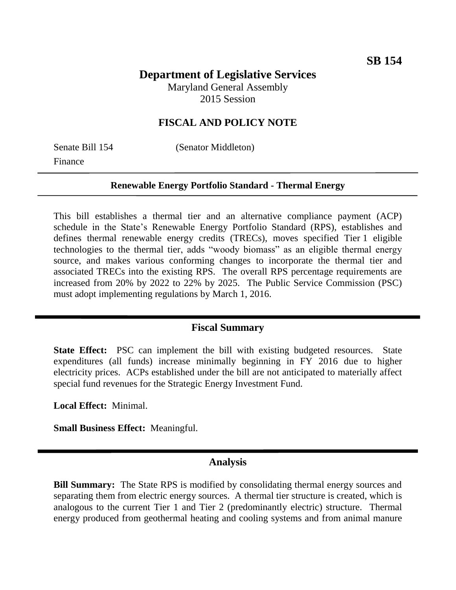# **Department of Legislative Services**

Maryland General Assembly 2015 Session

### **FISCAL AND POLICY NOTE**

Finance

Senate Bill 154 (Senator Middleton)

#### **Renewable Energy Portfolio Standard - Thermal Energy**

This bill establishes a thermal tier and an alternative compliance payment (ACP) schedule in the State's Renewable Energy Portfolio Standard (RPS), establishes and defines thermal renewable energy credits (TRECs), moves specified Tier 1 eligible technologies to the thermal tier, adds "woody biomass" as an eligible thermal energy source, and makes various conforming changes to incorporate the thermal tier and associated TRECs into the existing RPS. The overall RPS percentage requirements are increased from 20% by 2022 to 22% by 2025. The Public Service Commission (PSC) must adopt implementing regulations by March 1, 2016.

#### **Fiscal Summary**

**State Effect:** PSC can implement the bill with existing budgeted resources. State expenditures (all funds) increase minimally beginning in FY 2016 due to higher electricity prices. ACPs established under the bill are not anticipated to materially affect special fund revenues for the Strategic Energy Investment Fund.

**Local Effect:** Minimal.

**Small Business Effect:** Meaningful.

#### **Analysis**

**Bill Summary:** The State RPS is modified by consolidating thermal energy sources and separating them from electric energy sources. A thermal tier structure is created, which is analogous to the current Tier 1 and Tier 2 (predominantly electric) structure. Thermal energy produced from geothermal heating and cooling systems and from animal manure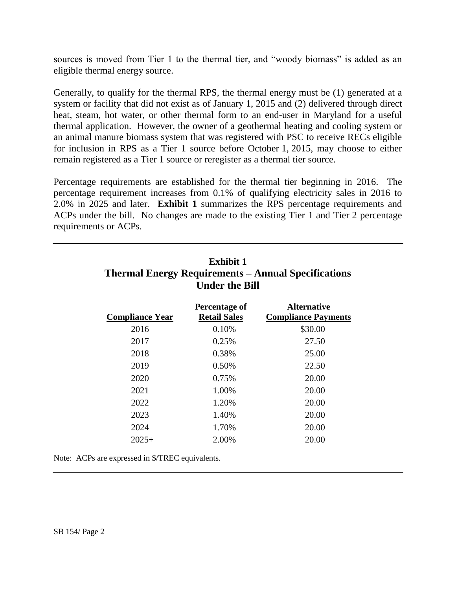sources is moved from Tier 1 to the thermal tier, and "woody biomass" is added as an eligible thermal energy source.

Generally, to qualify for the thermal RPS, the thermal energy must be (1) generated at a system or facility that did not exist as of January 1, 2015 and (2) delivered through direct heat, steam, hot water, or other thermal form to an end-user in Maryland for a useful thermal application. However, the owner of a geothermal heating and cooling system or an animal manure biomass system that was registered with PSC to receive RECs eligible for inclusion in RPS as a Tier 1 source before October 1, 2015, may choose to either remain registered as a Tier 1 source or reregister as a thermal tier source.

Percentage requirements are established for the thermal tier beginning in 2016. The percentage requirement increases from 0.1% of qualifying electricity sales in 2016 to 2.0% in 2025 and later. **Exhibit 1** summarizes the RPS percentage requirements and ACPs under the bill. No changes are made to the existing Tier 1 and Tier 2 percentage requirements or ACPs.

| <b>Exhibit 1</b><br><b>Thermal Energy Requirements – Annual Specifications</b><br><b>Under the Bill</b> |                                      |                                                  |  |  |  |  |  |
|---------------------------------------------------------------------------------------------------------|--------------------------------------|--------------------------------------------------|--|--|--|--|--|
| <b>Compliance Year</b>                                                                                  | Percentage of<br><b>Retail Sales</b> | <b>Alternative</b><br><b>Compliance Payments</b> |  |  |  |  |  |
| 2016                                                                                                    | 0.10%                                | \$30.00                                          |  |  |  |  |  |
| 2017                                                                                                    | 0.25%                                | 27.50                                            |  |  |  |  |  |
| 2018                                                                                                    | 0.38%                                | 25.00                                            |  |  |  |  |  |
| 2019                                                                                                    | 0.50%                                | 22.50                                            |  |  |  |  |  |
| 2020                                                                                                    | 0.75%                                | 20.00                                            |  |  |  |  |  |
| 2021                                                                                                    | 1.00%                                | 20.00                                            |  |  |  |  |  |
| 2022                                                                                                    | 1.20%                                | 20.00                                            |  |  |  |  |  |
| 2023                                                                                                    | 1.40%                                | 20.00                                            |  |  |  |  |  |
| 2024                                                                                                    | 1.70%                                | 20.00                                            |  |  |  |  |  |
| $2025+$                                                                                                 | 2.00%                                | 20.00                                            |  |  |  |  |  |

Note: ACPs are expressed in \$/TREC equivalents.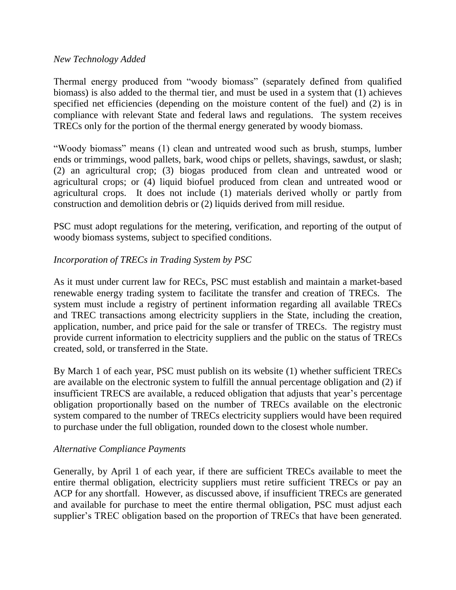#### *New Technology Added*

Thermal energy produced from "woody biomass" (separately defined from qualified biomass) is also added to the thermal tier, and must be used in a system that (1) achieves specified net efficiencies (depending on the moisture content of the fuel) and (2) is in compliance with relevant State and federal laws and regulations. The system receives TRECs only for the portion of the thermal energy generated by woody biomass.

"Woody biomass" means (1) clean and untreated wood such as brush, stumps, lumber ends or trimmings, wood pallets, bark, wood chips or pellets, shavings, sawdust, or slash; (2) an agricultural crop; (3) biogas produced from clean and untreated wood or agricultural crops; or (4) liquid biofuel produced from clean and untreated wood or agricultural crops. It does not include (1) materials derived wholly or partly from construction and demolition debris or (2) liquids derived from mill residue.

PSC must adopt regulations for the metering, verification, and reporting of the output of woody biomass systems, subject to specified conditions.

#### *Incorporation of TRECs in Trading System by PSC*

As it must under current law for RECs, PSC must establish and maintain a market-based renewable energy trading system to facilitate the transfer and creation of TRECs. The system must include a registry of pertinent information regarding all available TRECs and TREC transactions among electricity suppliers in the State, including the creation, application, number, and price paid for the sale or transfer of TRECs. The registry must provide current information to electricity suppliers and the public on the status of TRECs created, sold, or transferred in the State.

By March 1 of each year, PSC must publish on its website (1) whether sufficient TRECs are available on the electronic system to fulfill the annual percentage obligation and (2) if insufficient TRECS are available, a reduced obligation that adjusts that year's percentage obligation proportionally based on the number of TRECs available on the electronic system compared to the number of TRECs electricity suppliers would have been required to purchase under the full obligation, rounded down to the closest whole number.

#### *Alternative Compliance Payments*

Generally, by April 1 of each year, if there are sufficient TRECs available to meet the entire thermal obligation, electricity suppliers must retire sufficient TRECs or pay an ACP for any shortfall. However, as discussed above, if insufficient TRECs are generated and available for purchase to meet the entire thermal obligation, PSC must adjust each supplier's TREC obligation based on the proportion of TRECs that have been generated.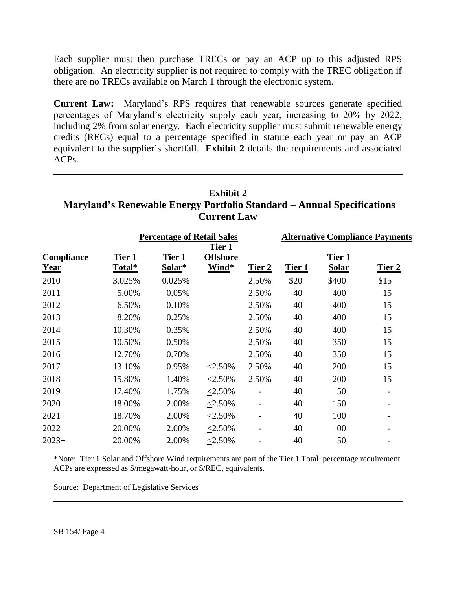Each supplier must then purchase TRECs or pay an ACP up to this adjusted RPS obligation. An electricity supplier is not required to comply with the TREC obligation if there are no TRECs available on March 1 through the electronic system.

**Current Law:** Maryland's RPS requires that renewable sources generate specified percentages of Maryland's electricity supply each year, increasing to 20% by 2022, including 2% from solar energy. Each electricity supplier must submit renewable energy credits (RECs) equal to a percentage specified in statute each year or pay an ACP equivalent to the supplier's shortfall. **Exhibit 2** details the requirements and associated ACPs.

# **Exhibit 2 Maryland's Renewable Energy Portfolio Standard – Annual Specifications Current Law**

|                    |                  | <b>Percentage of Retail Sales</b> |                                    | <b>Alternative Compliance Payments</b> |        |                        |                          |
|--------------------|------------------|-----------------------------------|------------------------------------|----------------------------------------|--------|------------------------|--------------------------|
| Compliance<br>Year | Tier 1<br>Total* | Tier 1<br>Solar*                  | Tier 1<br><b>Offshore</b><br>Wind* | Tier 2                                 | Tier 1 | Tier 1<br><b>Solar</b> | Tier 2                   |
| 2010               | 3.025%           | 0.025%                            |                                    | 2.50%                                  | \$20   | \$400                  | \$15                     |
| 2011               | 5.00%            | 0.05%                             |                                    | 2.50%                                  | 40     | 400                    | 15                       |
| 2012               | 6.50%            | 0.10%                             |                                    | 2.50%                                  | 40     | 400                    | 15                       |
| 2013               | 8.20%            | 0.25%                             |                                    | 2.50%                                  | 40     | 400                    | 15                       |
| 2014               | 10.30%           | 0.35%                             |                                    | 2.50%                                  | 40     | 400                    | 15                       |
| 2015               | 10.50%           | 0.50%                             |                                    | 2.50%                                  | 40     | 350                    | 15                       |
| 2016               | 12.70%           | 0.70%                             |                                    | 2.50%                                  | 40     | 350                    | 15                       |
| 2017               | 13.10%           | 0.95%                             | $< 2.50\%$                         | 2.50%                                  | 40     | 200                    | 15                       |
| 2018               | 15.80%           | 1.40%                             | $\leq$ 2.50%                       | 2.50%                                  | 40     | 200                    | 15                       |
| 2019               | 17.40%           | 1.75%                             | $<2.50\%$                          | $\overline{a}$                         | 40     | 150                    | $\overline{\phantom{a}}$ |
| 2020               | 18.00%           | 2.00%                             | $<2.50\%$                          |                                        | 40     | 150                    |                          |
| 2021               | 18.70%           | 2.00%                             | $<2.50\%$                          |                                        | 40     | 100                    |                          |
| 2022               | 20.00%           | 2.00%                             | $\leq$ 2.50%                       |                                        | 40     | 100                    |                          |
| $2023+$            | 20.00%           | 2.00%                             | $< 2.50\%$                         |                                        | 40     | 50                     |                          |

\*Note: Tier 1 Solar and Offshore Wind requirements are part of the Tier 1 Total percentage requirement. ACPs are expressed as \$/megawatt-hour, or \$/REC, equivalents.

Source: Department of Legislative Services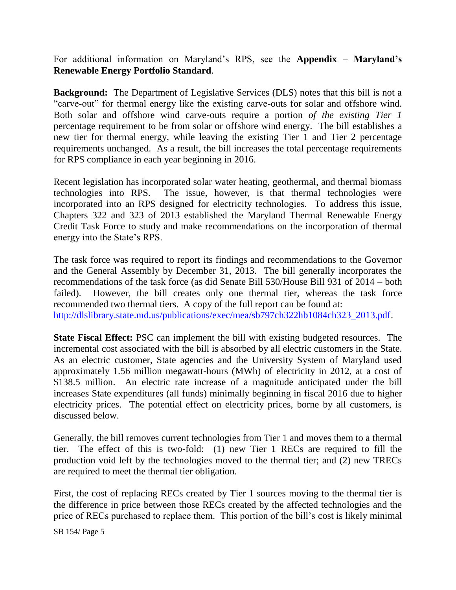For additional information on Maryland's RPS, see the **Appendix – Maryland's Renewable Energy Portfolio Standard**.

**Background:** The Department of Legislative Services (DLS) notes that this bill is not a "carve-out" for thermal energy like the existing carve-outs for solar and offshore wind. Both solar and offshore wind carve-outs require a portion *of the existing Tier 1* percentage requirement to be from solar or offshore wind energy. The bill establishes a new tier for thermal energy, while leaving the existing Tier 1 and Tier 2 percentage requirements unchanged. As a result, the bill increases the total percentage requirements for RPS compliance in each year beginning in 2016.

Recent legislation has incorporated solar water heating, geothermal, and thermal biomass technologies into RPS. The issue, however, is that thermal technologies were incorporated into an RPS designed for electricity technologies. To address this issue, Chapters 322 and 323 of 2013 established the Maryland Thermal Renewable Energy Credit Task Force to study and make recommendations on the incorporation of thermal energy into the State's RPS.

The task force was required to report its findings and recommendations to the Governor and the General Assembly by December 31, 2013. The bill generally incorporates the recommendations of the task force (as did Senate Bill 530/House Bill 931 of 2014 – both failed). However, the bill creates only one thermal tier, whereas the task force recommended two thermal tiers. A copy of the full report can be found at: [http://dlslibrary.state.md.us/publications/exec/mea/sb797ch322hb1084ch323\\_2013.pdf.](http://dlslibrary.state.md.us/publications/exec/mea/sb797ch322hb1084ch323_2013.pdf)

**State Fiscal Effect:** PSC can implement the bill with existing budgeted resources. The incremental cost associated with the bill is absorbed by all electric customers in the State. As an electric customer, State agencies and the University System of Maryland used approximately 1.56 million megawatt-hours (MWh) of electricity in 2012, at a cost of \$138.5 million. An electric rate increase of a magnitude anticipated under the bill increases State expenditures (all funds) minimally beginning in fiscal 2016 due to higher electricity prices. The potential effect on electricity prices, borne by all customers, is discussed below.

Generally, the bill removes current technologies from Tier 1 and moves them to a thermal tier. The effect of this is two-fold: (1) new Tier 1 RECs are required to fill the production void left by the technologies moved to the thermal tier; and (2) new TRECs are required to meet the thermal tier obligation.

First, the cost of replacing RECs created by Tier 1 sources moving to the thermal tier is the difference in price between those RECs created by the affected technologies and the price of RECs purchased to replace them. This portion of the bill's cost is likely minimal

SB 154/ Page 5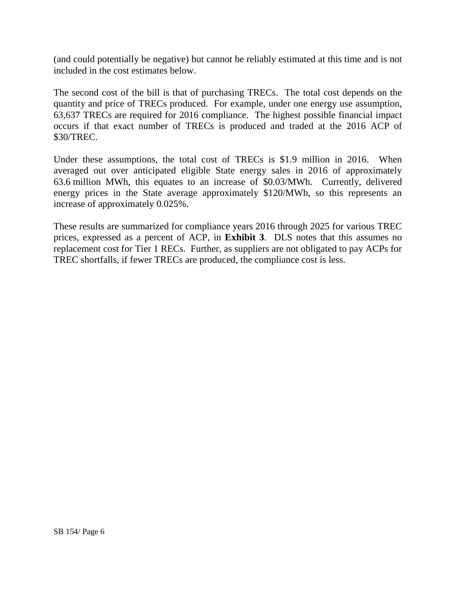(and could potentially be negative) but cannot be reliably estimated at this time and is not included in the cost estimates below.

The second cost of the bill is that of purchasing TRECs. The total cost depends on the quantity and price of TRECs produced. For example, under one energy use assumption, 63,637 TRECs are required for 2016 compliance. The highest possible financial impact occurs if that exact number of TRECs is produced and traded at the 2016 ACP of \$30/TREC.

Under these assumptions, the total cost of TRECs is \$1.9 million in 2016. When averaged out over anticipated eligible State energy sales in 2016 of approximately 63.6 million MWh, this equates to an increase of \$0.03/MWh. Currently, delivered energy prices in the State average approximately \$120/MWh, so this represents an increase of approximately 0.025%.

These results are summarized for compliance years 2016 through 2025 for various TREC prices, expressed as a percent of ACP, in **Exhibit 3**. DLS notes that this assumes no replacement cost for Tier 1 RECs. Further, as suppliers are not obligated to pay ACPs for TREC shortfalls, if fewer TRECs are produced, the compliance cost is less.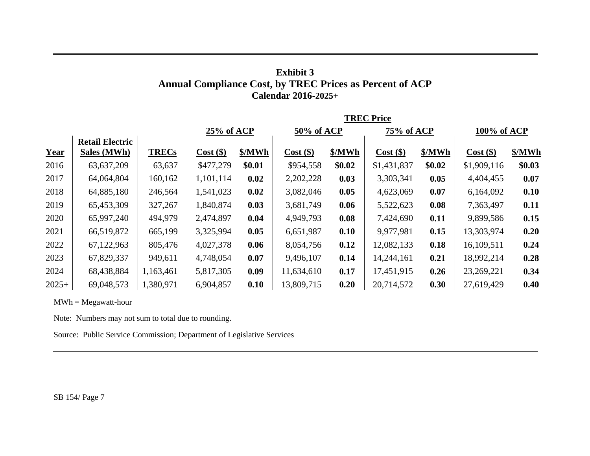## **Exhibit 3 Annual Compliance Cost, by TREC Prices as Percent of ACP Calendar 2016-2025+**

|             |                                              |              | <b>TREC Price</b> |            |             |            |             |             |             |          |
|-------------|----------------------------------------------|--------------|-------------------|------------|-------------|------------|-------------|-------------|-------------|----------|
|             |                                              | 25% of ACP   |                   | 50% of ACP |             | 75% of ACP |             | 100% of ACP |             |          |
| <b>Year</b> | <b>Retail Electric</b><br><b>Sales (MWh)</b> | <b>TRECs</b> | $Cost($ \$)       | \$/MWh     | $Cost($ \$) | \$/MWh     | $Cost($ \$) | \$/MWh      | $Cost($ \$) | \$/MWh   |
| 2016        | 63,637,209                                   | 63,637       | \$477,279         | \$0.01     | \$954,558   | \$0.02     | \$1,431,837 | \$0.02\$    | \$1,909,116 | \$0.03\$ |
| 2017        | 64,064,804                                   | 160,162      | 1,101,114         | 0.02       | 2,202,228   | 0.03       | 3,303,341   | 0.05        | 4,404,455   | 0.07     |
| 2018        | 64,885,180                                   | 246,564      | 1,541,023         | 0.02       | 3,082,046   | 0.05       | 4,623,069   | 0.07        | 6,164,092   | 0.10     |
| 2019        | 65,453,309                                   | 327,267      | 1,840,874         | 0.03       | 3,681,749   | 0.06       | 5,522,623   | 0.08        | 7,363,497   | 0.11     |
| 2020        | 65,997,240                                   | 494,979      | 2,474,897         | 0.04       | 4,949,793   | 0.08       | 7,424,690   | 0.11        | 9,899,586   | 0.15     |
| 2021        | 66,519,872                                   | 665,199      | 3,325,994         | 0.05       | 6,651,987   | 0.10       | 9,977,981   | 0.15        | 13,303,974  | 0.20     |
| 2022        | 67,122,963                                   | 805,476      | 4,027,378         | 0.06       | 8,054,756   | 0.12       | 12,082,133  | 0.18        | 16,109,511  | 0.24     |
| 2023        | 67,829,337                                   | 949,611      | 4,748,054         | 0.07       | 9,496,107   | 0.14       | 14,244,161  | 0.21        | 18,992,214  | 0.28     |
| 2024        | 68,438,884                                   | 1,163,461    | 5,817,305         | 0.09       | 11,634,610  | 0.17       | 17,451,915  | 0.26        | 23,269,221  | 0.34     |
| $2025+$     | 69,048,573                                   | 1,380,971    | 6,904,857         | 0.10       | 13,809,715  | 0.20       | 20,714,572  | 0.30        | 27,619,429  | 0.40     |

 $MWh = Megawatt-hour$ 

Note: Numbers may not sum to total due to rounding.

Source: Public Service Commission; Department of Legislative Services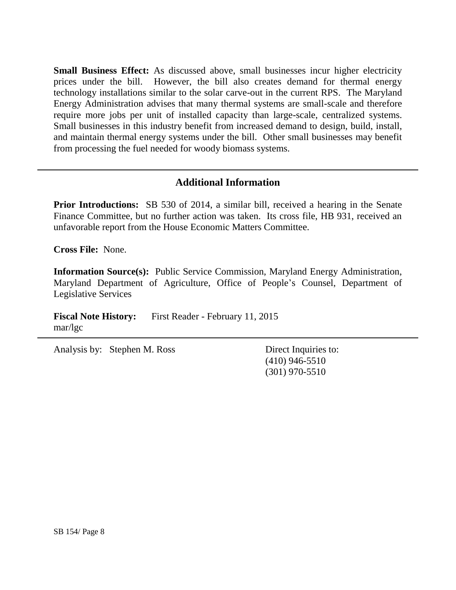**Small Business Effect:** As discussed above, small businesses incur higher electricity prices under the bill. However, the bill also creates demand for thermal energy technology installations similar to the solar carve-out in the current RPS. The Maryland Energy Administration advises that many thermal systems are small-scale and therefore require more jobs per unit of installed capacity than large-scale, centralized systems. Small businesses in this industry benefit from increased demand to design, build, install, and maintain thermal energy systems under the bill. Other small businesses may benefit from processing the fuel needed for woody biomass systems.

## **Additional Information**

**Prior Introductions:** SB 530 of 2014, a similar bill, received a hearing in the Senate Finance Committee, but no further action was taken. Its cross file, HB 931, received an unfavorable report from the House Economic Matters Committee.

**Cross File:** None.

**Information Source(s):** Public Service Commission, Maryland Energy Administration, Maryland Department of Agriculture, Office of People's Counsel, Department of Legislative Services

**Fiscal Note History:** First Reader - February 11, 2015 mar/lgc

Analysis by: Stephen M. Ross Direct Inquiries to:

(410) 946-5510 (301) 970-5510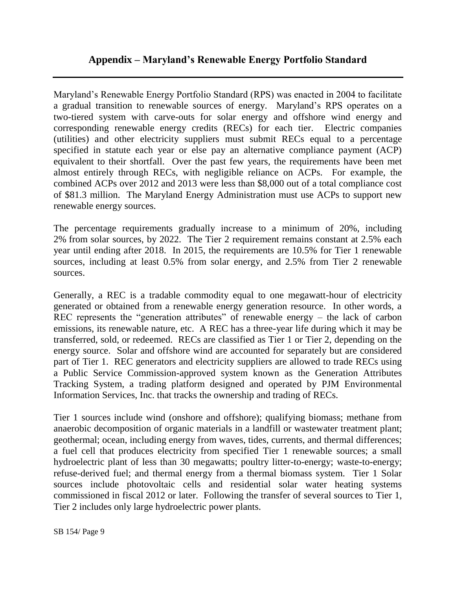Maryland's Renewable Energy Portfolio Standard (RPS) was enacted in 2004 to facilitate a gradual transition to renewable sources of energy. Maryland's RPS operates on a two-tiered system with carve-outs for solar energy and offshore wind energy and corresponding renewable energy credits (RECs) for each tier. Electric companies (utilities) and other electricity suppliers must submit RECs equal to a percentage specified in statute each year or else pay an alternative compliance payment (ACP) equivalent to their shortfall. Over the past few years, the requirements have been met almost entirely through RECs, with negligible reliance on ACPs. For example, the combined ACPs over 2012 and 2013 were less than \$8,000 out of a total compliance cost of \$81.3 million. The Maryland Energy Administration must use ACPs to support new renewable energy sources.

The percentage requirements gradually increase to a minimum of 20%, including 2% from solar sources, by 2022. The Tier 2 requirement remains constant at 2.5% each year until ending after 2018. In 2015, the requirements are 10.5% for Tier 1 renewable sources, including at least 0.5% from solar energy, and 2.5% from Tier 2 renewable sources.

Generally, a REC is a tradable commodity equal to one megawatt-hour of electricity generated or obtained from a renewable energy generation resource. In other words, a REC represents the "generation attributes" of renewable energy – the lack of carbon emissions, its renewable nature, etc. A REC has a three-year life during which it may be transferred, sold, or redeemed. RECs are classified as Tier 1 or Tier 2, depending on the energy source. Solar and offshore wind are accounted for separately but are considered part of Tier 1. REC generators and electricity suppliers are allowed to trade RECs using a Public Service Commission-approved system known as the Generation Attributes Tracking System, a trading platform designed and operated by PJM Environmental Information Services, Inc. that tracks the ownership and trading of RECs.

Tier 1 sources include wind (onshore and offshore); qualifying biomass; methane from anaerobic decomposition of organic materials in a landfill or wastewater treatment plant; geothermal; ocean, including energy from waves, tides, currents, and thermal differences; a fuel cell that produces electricity from specified Tier 1 renewable sources; a small hydroelectric plant of less than 30 megawatts; poultry litter-to-energy; waste-to-energy; refuse-derived fuel; and thermal energy from a thermal biomass system. Tier 1 Solar sources include photovoltaic cells and residential solar water heating systems commissioned in fiscal 2012 or later. Following the transfer of several sources to Tier 1, Tier 2 includes only large hydroelectric power plants.